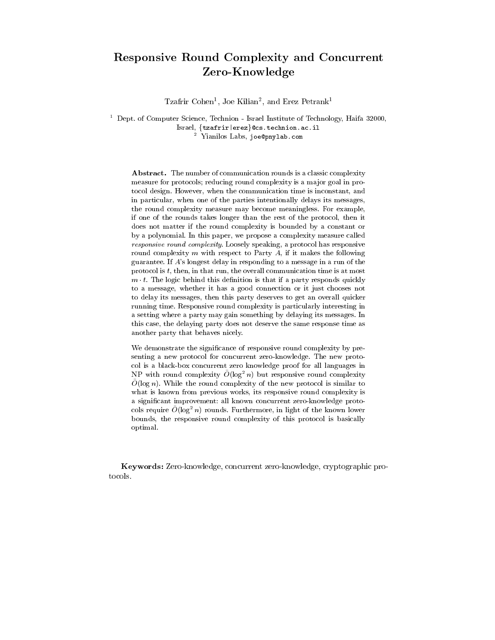# **Responsive Round Complexity and Concurrent** Zero-Knowledge

Tzafrir Cohen<sup>1</sup>, Joe Kilian<sup>2</sup>, and Erez Petrank<sup>1</sup>

<sup>1</sup> Dept. of Computer Science, Technion - Israel Institute of Technology, Haifa 32000, Israel, {tzafrir|erez}@cs.technion.ac.il<br>2 Yianilos Labs, joe@pnylab.com

Abstract. The number of communication rounds is a classic complexity measure for protocols; reducing round complexity is a major goal in protocol design. However, when the communication time is inconstant, and in particular, when one of the parties intentionally delays its messages, the round complexity measure may become meaningless. For example, if one of the rounds takes longer than the rest of the protocol, then it does not matter if the round complexity is bounded by a constant or by a polynomial. In this paper, we propose a complexity measure called *responsive round complexity.* Loosely speaking, a protocol has responsive round complexity  $m$  with respect to Party  $A$ , if it makes the following guarantee. If  $A$ 's longest delay in responding to a message in a run of the protocol is  $t$ , then, in that run, the overall communication time is at most  $m \cdot t$ . The logic behind this definition is that if a party responds quickly to a message, whether it has a good connection or it just chooses not to delay its messages, then this party deserves to get an overall quicker running time. Responsive round complexity is particularly interesting in a setting where a party may gain something by delaying its messages. In this case, the delaying party does not deserve the same response time as another party that behaves nicely.

We demonstrate the significance of responsive round complexity by presenting a new protocol for concurrent zero-knowledge. The new protocol is a black-box concurrent zero knowledge proof for all languages in NP with round complexity  $\tilde{O}(\log^2 n)$  but responsive round complexity  $O(\log n)$ . While the round complexity of the new protocol is similar to what is known from previous works, its responsive round complexity is a significant improvement: all known concurrent zero-knowledge protocols require  $\tilde{O}(\log^2 n)$  rounds. Furthermore, in light of the known lower bounds, the responsive round complexity of this protocol is basically optimal.

Keywords: Zero-knowledge, concurrent zero-knowledge, cryptographic protocols.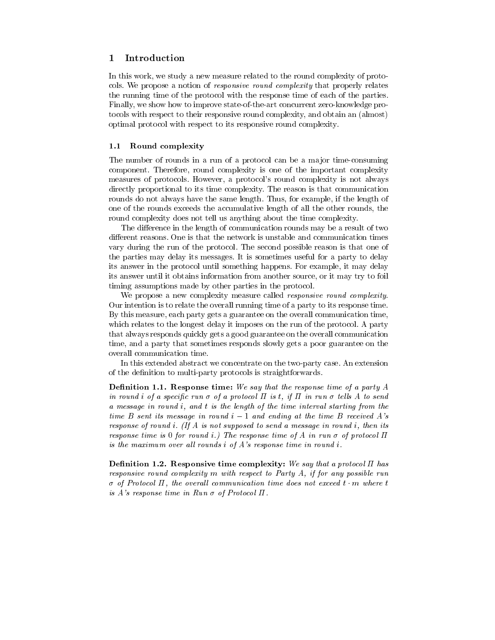# Introduction  $\mathbf{1}$

In this work, we study a new measure related to the round complexity of protocols. We propose a notion of *responsive round complexity* that properly relates the running time of the protocol with the response time of each of the parties. Finally, we show how to improve state-of-the-art concurrent zero-knowledge protocols with respect to their responsive round complexity, and obtain an (almost) optimal protocol with respect to its responsive round complexity.

#### $1.1$ Round complexity

The number of rounds in a run of a protocol can be a major time-consuming component. Therefore, round complexity is one of the important complexity measures of protocols. However, a protocol's round complexity is not always directly proportional to its time complexity. The reason is that communication rounds do not always have the same length. Thus, for example, if the length of one of the rounds exceeds the accumulative length of all the other rounds, the round complexity does not tell us anything about the time complexity.

The difference in the length of communication rounds may be a result of two different reasons. One is that the network is unstable and communication times vary during the run of the protocol. The second possible reason is that one of the parties may delay its messages. It is sometimes useful for a party to delay its answer in the protocol until something happens. For example, it may delay its answer until it obtains information from another source, or it may try to foil timing assumptions made by other parties in the protocol.

We propose a new complexity measure called *responsive round complexity*. Our intention is to relate the overall running time of a party to its response time. By this measure, each party gets a guarantee on the overall communication time, which relates to the longest delay it imposes on the run of the protocol. A party that always responds quickly gets a good guarantee on the overall communication time, and a party that sometimes responds slowly gets a poor guarantee on the overall communication time.

In this extended abstract we concentrate on the two-party case. An extension of the definition to multi-party protocols is straightforwards.

**Definition 1.1. Response time:** We say that the response time of a party A in round i of a specific run  $\sigma$  of a protocol  $\Pi$  is t, if  $\Pi$  in run  $\sigma$  tells A to send a message in round i, and t is the length of the time interval starting from the time B sent its message in round  $i-1$  and ending at the time B received A's response of round i. (If A is not supposed to send a message in round i, then its response time is 0 for round i.) The response time of A in run  $\sigma$  of protocol  $\Pi$ is the maximum over all rounds  $i$  of  $A$ 's response time in round  $i$ .

**Definition 1.2.** Responsive time complexity: We say that a protocol  $\Pi$  has responsive round complexity  $m$  with respect to Party  $A$ , if for any possible run  $\sigma$  of Protocol  $\Pi$ , the overall communication time does not exceed  $t \cdot m$  where t is A's response time in Run  $\sigma$  of Protocol  $\Pi$ .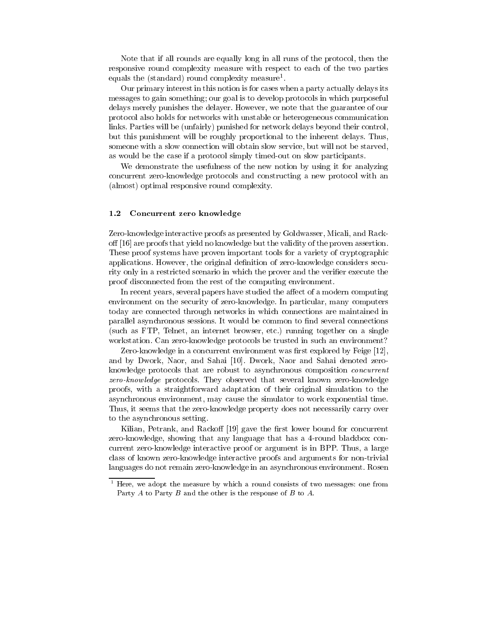Note that if all rounds are equally long in all runs of the protocol, then the responsive round complexity measure with respect to each of the two parties equals the (standard) round complexity measure<sup>1</sup>.

Our primary interest in this notion is for cases when a party actually delays its messages to gain something; our goal is to develop protocols in which purposeful delays merely punishes the delayer. However, we note that the guarantee of our protocol also holds for networks with unstable or heterogeneous communication links. Parties will be (unfairly) punished for network delays beyond their control, but this punishment will be roughly proportional to the inherent delays. Thus, someone with a slow connection will obtain slow service, but will not be starved, as would be the case if a protocol simply timed-out on slow participants.

We demonstrate the usefulness of the new notion by using it for analyzing concurrent zero-knowledge protocols and constructing a new protocol with an (almost) optimal responsive round complexity.

#### $1.2$ Concurrent zero knowledge

Zero-knowledge interactive proofs as presented by Goldwasser, Micali, and Rackoff [16] are proofs that yield no knowledge but the validity of the proven assertion. These proof systems have proven important tools for a variety of cryptographic applications. However, the original definition of zero-knowledge considers security only in a restricted scenario in which the prover and the verifier execute the proof disconnected from the rest of the computing environment.

In recent years, several papers have studied the affect of a modern computing environment on the security of zero-knowledge. In particular, many computers today are connected through networks in which connections are maintained in parallel asynchronous sessions. It would be common to find several connections (such as FTP, Telnet, an internet browser, etc.) running together on a single workstation. Can zero-knowledge protocols be trusted in such an environment?

Zero-knowledge in a concurrent environment was first explored by Feige [12], and by Dwork, Naor, and Sahai [10]. Dwork, Naor and Sahai denoted zeroknowledge protocols that are robust to asynchronous composition *concurrent* zero-knowledge protocols. They observed that several known zero-knowledge proofs, with a straightforward adaptation of their original simulation to the asynchronous environment, may cause the simulator to work exponential time. Thus, it seems that the zero-knowledge property does not necessarily carry over to the asynchronous setting.

Kilian, Petrank, and Rackoff [19] gave the first lower bound for concurrent zero-knowledge, showing that any language that has a 4-round blackbox concurrent zero-knowledge interactive proof or argument is in BPP. Thus, a large class of known zero-knowledge interactive proofs and arguments for non-trivial languages do not remain zero-knowledge in an asynchronous environment. Rosen

Here, we adopt the measure by which a round consists of two messages: one from Party  $A$  to Party  $B$  and the other is the response of  $B$  to  $A$ .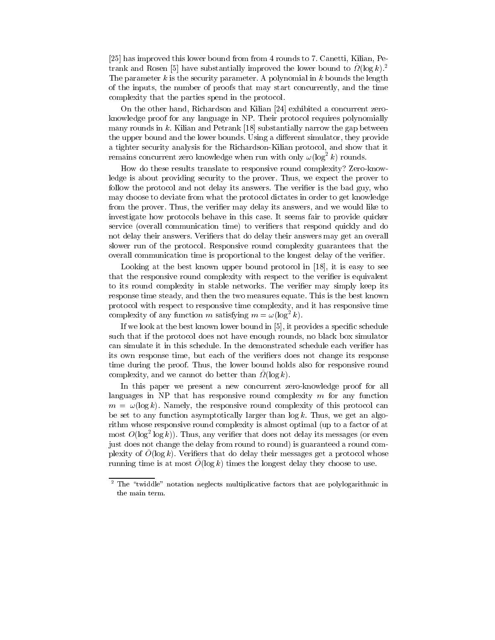[25] has improved this lower bound from from 4 rounds to 7. Canetti, Kilian, Petrank and Rosen [5] have substantially improved the lower bound to  $\Omega(\log k)^2$ The parameter  $k$  is the security parameter. A polynomial in  $k$  bounds the length of the inputs, the number of proofs that may start concurrently, and the time complexity that the parties spend in the protocol.

On the other hand, Richardson and Kilian [24] exhibited a concurrent zeroknowledge proof for any language in NP. Their protocol requires polynomially many rounds in  $k$ . Kilian and Petrank [18] substantially narrow the gap between the upper bound and the lower bounds. Using a different simulator, they provide a tighter security analysis for the Richardson-Kilian protocol, and show that it remains concurrent zero knowledge when run with only  $\omega(\log^2 k)$  rounds.

How do these results translate to responsive round complexity? Zero-knowledge is about providing security to the prover. Thus, we expect the prover to follow the protocol and not delay its answers. The verifier is the bad guy, who may choose to deviate from what the protocol dictates in order to get knowledge from the prover. Thus, the verifier may delay its answers, and we would like to investigate how protocols behave in this case. It seems fair to provide quicker service (overall communication time) to verifiers that respond quickly and do not delay their answers. Verifiers that do delay their answers may get an overall slower run of the protocol. Responsive round complexity guarantees that the overall communication time is proportional to the longest delay of the verifier.

Looking at the best known upper bound protocol in [18], it is easy to see that the responsive round complexity with respect to the verifier is equivalent to its round complexity in stable networks. The verifier may simply keep its response time steady, and then the two measures equate. This is the best known protocol with respect to responsive time complexity, and it has responsive time complexity of any function m satisfying  $m = \omega(\log^2 k)$ .

If we look at the best known lower bound in [5], it provides a specific schedule such that if the protocol does not have enough rounds, no black box simulator can simulate it in this schedule. In the demonstrated schedule each verifier has its own response time, but each of the verifiers does not change its response time during the proof. Thus, the lower bound holds also for responsive round complexity, and we cannot do better than  $\Omega(\log k)$ .

In this paper we present a new concurrent zero-knowledge proof for all languages in NP that has responsive round complexity  $m$  for any function  $m = \omega(\log k)$ . Namely, the responsive round complexity of this protocol can be set to any function asymptotically larger than  $\log k$ . Thus, we get an algorithm whose responsive round complexity is almost optimal (up to a factor of at most  $O(\log^2 \log k)$ . Thus, any verifier that does not delay its messages (or even just does not change the delay from round to round) is guaranteed a round complexity of  $\tilde{O}(\log k)$ . Verifiers that do delay their messages get a protocol whose running time is at most  $\tilde{O}(\log k)$  times the longest delay they choose to use.

<sup>&</sup>lt;sup>2</sup> The "twiddle" notation neglects multiplicative factors that are polylogarithmic in the main term.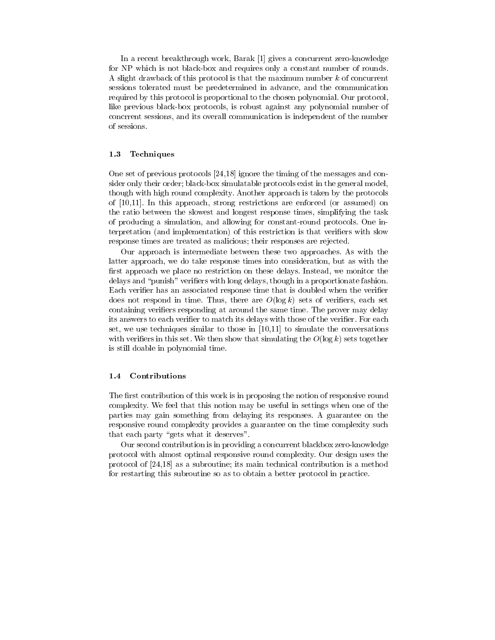In a recent breakthrough work, Barak [1] gives a concurrent zero-knowledge for NP which is not black-box and requires only a constant number of rounds. A slight drawback of this protocol is that the maximum number k of concurrent sessions tolerated must be predetermined in advance, and the communication required by this protocol is proportional to the chosen polynomial. Our protocol, like previous black-box protocols, is robust against any polynomial number of concrrent sessions, and its overall communication is independent of the number of sessions.

#### 1.3 Techniques

One set of previous protocols  $[24,18]$  ignore the timing of the messages and consider only their order; black-box simulatable protocols exist in the general model, though with high round complexity. Another approach is taken by the protocols of  $[10,11]$ . In this approach, strong restrictions are enforced (or assumed) on the ratio between the slowest and longest response times, simplifying the task of producing a simulation, and allowing for constant-round protocols. One interpretation (and implementation) of this restriction is that verifiers with slow response times are treated as malicious, their responses are rejected.

Our approach is intermediate between these two approaches. As with the latter approach, we do take response times into consideration, but as with the first approach we place no restriction on these delays. Instead, we monitor the delays and "punish" verifiers with long delays, though in a proportionate fashion. Each verifier has an associated response time that is doubled when the verifier does not respond in time. Thus, there are  $O(\log k)$  sets of verifiers, each set containing verifiers responding at around the same time. The prover may delay its answers to each verifier to match its delays with those of the verifier. For each set, we use techniques similar to those in  $[10,11]$  to simulate the conversations with verifiers in this set. We then show that simulating the  $O(\log k)$  sets together is still doable in polynomial time.

#### $1.4$ Contributions

The first contribution of this work is in proposing the notion of responsive round complexity. We feel that this notion may be useful in settings when one of the parties may gain something from delaying its responses. A guarantee on the responsive round complexity provides a guarantee on the time complexity such that each party "gets what it deserves".

Our second contribution is in providing a concurrent blackbox zero-knowledge protocol with almost optimal responsive round complexity. Our design uses the protocol of  $[24.18]$  as a subroutine; its main technical contribution is a method for restarting this subroutine so as to obtain a better protocol in practice.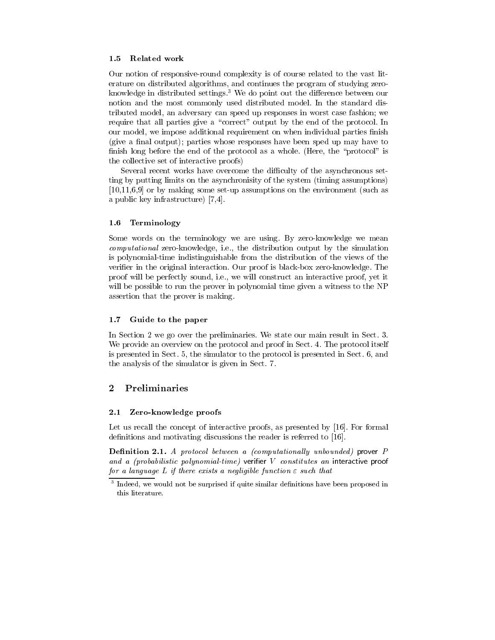#### 1.5 **Related work**

Our notion of responsive-round complexity is of course related to the vast literature on distributed algorithms, and continues the program of studying zeroknowledge in distributed settings.<sup>3</sup> We do point out the difference between our notion and the most commonly used distributed model. In the standard distributed model, an adversary can speed up responses in worst case fashion; we require that all parties give a "correct" output by the end of the protocol. In our model, we impose additional requirement on when individual parties finish (give a final output); parties whose responses have been sped up may have to finish long before the end of the protocol as a whole. (Here, the "protocol" is the collective set of interactive proofs)

Several recent works have overcome the difficulty of the asynchronous setting by putting limits on the asynchronisity of the system (timing assumptions)  $[10,11,6,9]$  or by making some set-up assumptions on the environment (such as a public key infrastructure)  $[7,4]$ .

#### $1.6$ Terminology

Some words on the terminology we are using. By zero-knowledge we mean computational zero-knowledge, i.e., the distribution output by the simulation is polynomial-time indistinguishable from the distribution of the views of the verifier in the original interaction. Our proof is black-box zero-knowledge. The proof will be perfectly sound, i.e., we will construct an interactive proof, yet it will be possible to run the prover in polynomial time given a witness to the NP assertion that the prover is making.

#### 1.7 Guide to the paper

In Section 2 we go over the preliminaries. We state our main result in Sect. 3. We provide an overview on the protocol and proof in Sect. 4. The protocol itself is presented in Sect. 5, the simulator to the protocol is presented in Sect. 6, and the analysis of the simulator is given in Sect. 7.

# $\overline{2}$ Preliminaries

#### $2.1$ Zero-knowledge proofs

Let us recall the concept of interactive proofs, as presented by  $[16]$ . For formal definitions and motivating discussions the reader is referred to [16].

**Definition 2.1.** A protocol between a (computationally unbounded) prover P and a (probabilistic polynomial-time) verifier  $V$  constitutes an interactive proof for a language L if there exists a negligible function  $\varepsilon$  such that

Indeed, we would not be surprised if quite similar definitions have been proposed in this literature.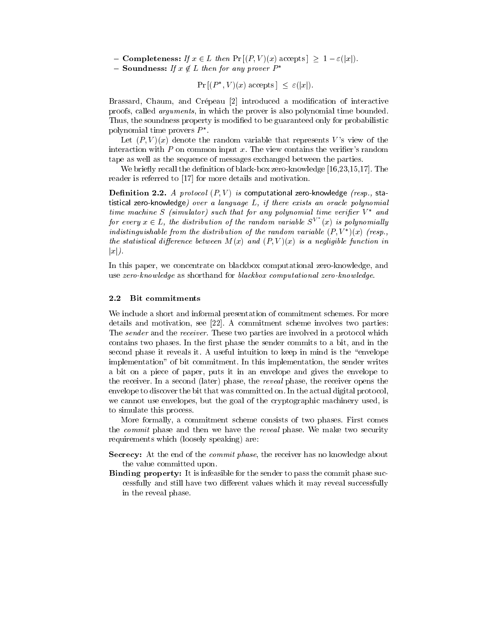- Completeness: If  $x \in L$  then  $Pr[(P, V)(x)$  accepts  $] \geq 1 \varepsilon(|x|)$ .
- Soundness: If  $x \notin L$  then for any prover  $P^*$

$$
Pr[(P^*, V)(x) \text{ accepts}] \leq \varepsilon(|x|).
$$

Brassard, Chaum, and Crépeau [2] introduced a modification of interactive proofs, called *arguments*, in which the prover is also polynomial time bounded. Thus, the soundness property is modified to be guaranteed only for probabilistic polynomial time provers  $P^*$ .

Let  $(P, V)(x)$  denote the random variable that represents V's view of the interaction with  $P$  on common input x. The view contains the verifier's random tape as well as the sequence of messages exchanged between the parties.

We briefly recall the definition of black-box zero-knowledge  $[16,23,15,17]$ . The reader is referred to [17] for more details and motivation.

Definition 2.2. A protocol  $(P, V)$  is computational zero-knowledge (resp., statistical zero-knowledge) over a language L, if there exists an oracle polynomial time machine S (simulator) such that for any polynomial time verifier  $V^*$  and for every  $x \in L$ , the distribution of the random variable  $S^{V^*}(x)$  is polynomially indistinguishable from the distribution of the random variable  $(P, V^*)(x)$  (resp., the statistical difference between  $M(x)$  and  $(P, V)(x)$  is a negligible function in  $|x|$ .

In this paper, we concentrate on blackbox computational zero-knowledge, and use zero-knowledge as shorthand for blackbox computational zero-knowledge.

#### $2.2$ **Bit commitments**

We include a short and informal presentation of commitment schemes. For more details and motivation, see [22]. A commitment scheme involves two parties: The sender and the receiver. These two parties are involved in a protocol which contains two phases. In the first phase the sender commits to a bit, and in the second phase it reveals it. A useful intuition to keep in mind is the "envelope" implementation" of bit commitment. In this implementation, the sender writes a bit on a piece of paper, puts it in an envelope and gives the envelope to the receiver. In a second (later) phase, the reveal phase, the receiver opens the envelope to discover the bit that was committed on. In the actual digital protocol, we cannot use envelopes, but the goal of the cryptographic machinery used, is to simulate this process.

More formally, a commitment scheme consists of two phases. First comes the *commit* phase and then we have the *reveal* phase. We make two security requirements which (loosely speaking) are:

- **Secrecy:** At the end of the *commit phase*, the receiver has no knowledge about the value committed upon.
- **Binding property:** It is infeasible for the sender to pass the commit phase successfully and still have two different values which it may reveal successfully in the reveal phase.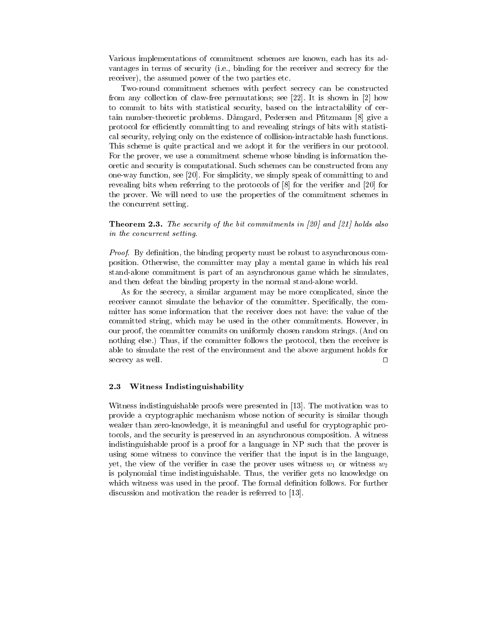Various implementations of commitment schemes are known, each has its advantages in terms of security (i.e., binding for the receiver and secrecy for the receiver), the assumed power of the two parties etc.

Two-round commitment schemes with perfect secrecy can be constructed from any collection of claw-free permutations; see [22]. It is shown in [2] how to commit to bits with statistical security, based on the intractability of certain number-theoretic problems. Dåmgard, Pedersen and Pfitzmann [8] give a protocol for efficiently committing to and revealing strings of bits with statistical security, relying only on the existence of collision-intractable hash functions. This scheme is quite practical and we adopt it for the verifiers in our protocol. For the prover, we use a commitment scheme whose binding is information theoretic and security is computational. Such schemes can be constructed from any one-way function, see [20]. For simplicity, we simply speak of committing to and revealing bits when referring to the protocols of [8] for the verifier and [20] for the prover. We will need to use the properties of the commitment schemes in the concurrent setting.

**Theorem 2.3.** The security of the bit commitments in [20] and [21] holds also in the concurrent setting.

*Proof.* By definition, the binding property must be robust to asynchronous composition. Otherwise, the committer may play a mental game in which his real stand-alone commitment is part of an asynchronous game which he simulates, and then defeat the binding property in the normal stand-alone world.

As for the secrecy, a similar argument may be more complicated, since the receiver cannot simulate the behavior of the committer. Specifically, the committer has some information that the receiver does not have: the value of the committed string, which may be used in the other commitments. However, in our proof, the committer commits on uniformly chosen random strings. (And on nothing else.) Thus, if the committer follows the protocol, then the receiver is able to simulate the rest of the environment and the above argument holds for secrecy as well.  $\Box$ 

#### 2.3 Witness Indistinguishability

Witness indistinguishable proofs were presented in [13]. The motivation was to provide a cryptographic mechanism whose notion of security is similar though weaker than zero-knowledge, it is meaningful and useful for cryptographic protocols, and the security is preserved in an asynchronous composition. A witness indistinguishable proof is a proof for a language in NP such that the prover is using some witness to convince the verifier that the input is in the language, yet, the view of the verifier in case the prover uses witness  $w_1$  or witness  $w_2$ is polynomial time indistinguishable. Thus, the verifier gets no knowledge on which witness was used in the proof. The formal definition follows. For further discussion and motivation the reader is referred to [13].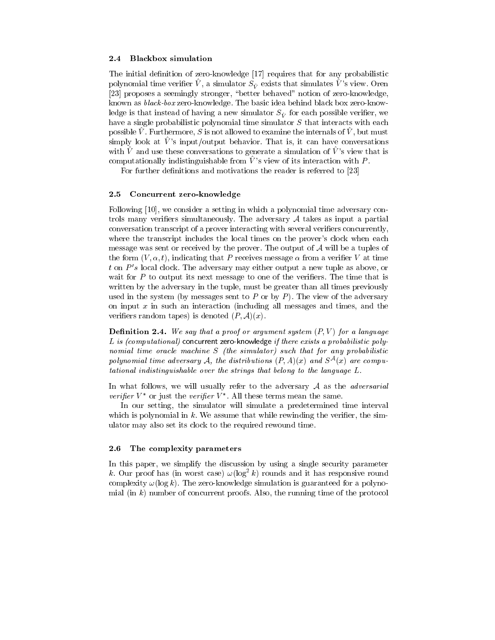#### 2.4 **Blackbox** simulation

The initial definition of zero-knowledge [17] requires that for any probabilistic polynomial time verifier  $\hat{V}$ , a simulator  $S_{\hat{V}}$  exists that simulates  $\hat{V}$ 's view. Oren [23] proposes a seemingly stronger, "better behaved" notion of zero-knowledge, known as black-box zero-knowledge. The basic idea behind black box zero-knowledge is that instead of having a new simulator  $S_{\hat{V}}$  for each possible verifier, we have a single probabilistic polynomial time simulator  $S$  that interacts with each possible  $\hat{V}$ . Furthermore, S is not allowed to examine the internals of  $\hat{V}$ , but must simply look at  $\hat{V}$ 's input/output behavior. That is, it can have conversations with  $\hat{V}$  and use these conversations to generate a simulation of  $\hat{V}$ 's view that is computationally indistinguishable from  $\hat{V}$ 's view of its interaction with P.

For further definitions and motivations the reader is referred to [23]

#### 2.5 Concurrent zero-knowledge

Following [10], we consider a setting in which a polynomial time adversary controls many verifiers simultaneously. The adversary  $A$  takes as input a partial conversation transcript of a prover interacting with several verifiers concurrently, where the transcript includes the local times on the prover's clock when each message was sent or received by the prover. The output of  $A$  will be a tuples of the form  $(V, \alpha, t)$ , indicating that P receives message  $\alpha$  from a verifier V at time t on  $P's$  local clock. The adversary may either output a new tuple as above, or wait for  $P$  to output its next message to one of the verifiers. The time that is written by the adversary in the tuple, must be greater than all times previously used in the system (by messages sent to P or by P). The view of the adversary on input  $x$  in such an interaction (including all messages and times, and the verifiers random tapes) is denoted  $(P, \mathcal{A})(x)$ .

**Definition 2.4.** We say that a proof or argument system  $(P, V)$  for a language L is (computational) concurrent zero-knowledge if there exists a probabilistic polynomial time oracle machine  $S$  (the simulator) such that for any probabilistic polynomial time adversary A, the distributions  $(P, A)(x)$  and  $S^{\mathcal{A}}(x)$  are computational indistinguishable over the strings that belong to the language L.

In what follows, we will usually refer to the adversary  $A$  as the *adversarial verifier*  $V^*$  or just the *verifier*  $V^*$ . All these terms mean the same.

In our setting, the simulator will simulate a predetermined time interval which is polynomial in k. We assume that while rewinding the verifier, the simulator may also set its clock to the required rewound time.

#### $2.6\,$ The complexity parameters

In this paper, we simplify the discussion by using a single security parameter k. Our proof has (in worst case)  $\omega(\log^2 k)$  rounds and it has responsive round complexity  $\omega(\log k)$ . The zero-knowledge simulation is guaranteed for a polynomial (in  $k$ ) number of concurrent proofs. Also, the running time of the protocol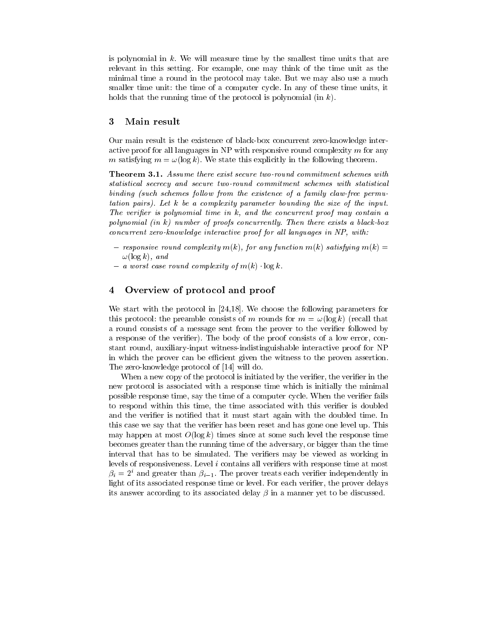is polynomial in  $k$ . We will measure time by the smallest time units that are relevant in this setting. For example, one may think of the time unit as the minimal time a round in the protocol may take. But we may also use a much smaller time unit: the time of a computer cycle. In any of these time units, it holds that the running time of the protocol is polynomial (in  $k$ ).

# $\operatorname{Main}$  result 3

Our main result is the existence of black-box concurrent zero-knowledge interactive proof for all languages in NP with responsive round complexity  $m$  for any m satisfying  $m = \omega(\log k)$ . We state this explicitly in the following theorem.

**Theorem 3.1.** Assume there exist secure two-round commitment schemes with statistical secrecy and secure two-round commitment schemes with statistical binding (such schemes follow from the existence of a family claw-free permutation pairs). Let  $k$  be a complexity parameter bounding the size of the input. The verifier is polynomial time in  $k$ , and the concurrent proof may contain a polynomial (in  $k$ ) number of proofs concurrently. Then there exists a black-box concurrent zero-knowledge interactive proof for all languages in NP, with:

- responsive round complexity  $m(k)$ , for any function  $m(k)$  satisfying  $m(k)$  $\omega(\log k)$ , and
- a worst case round complexity of  $m(k)$   $log k$ .

#### $\overline{\mathbf{4}}$ Overview of protocol and proof

We start with the protocol in [24,18]. We choose the following parameters for this protocol: the preamble consists of m rounds for  $m = \omega(\log k)$  (recall that a round consists of a message sent from the prover to the verifier followed by a response of the verifier). The body of the proof consists of a low error, constant round, auxiliary-input witness-indistinguishable interactive proof for NP in which the prover can be efficient given the witness to the proven assertion. The zero-knowledge protocol of [14] will do.

When a new copy of the protocol is initiated by the verifier, the verifier in the new protocol is associated with a response time which is initially the minimal possible response time, say the time of a computer cycle. When the verifier fails to respond within this time, the time associated with this verifier is doubled and the verifier is notified that it must start again with the doubled time. In this case we say that the verifier has been reset and has gone one level up. This may happen at most  $O(\log k)$  times since at some such level the response time becomes greater than the running time of the adversary, or bigger than the time interval that has to be simulated. The verifiers may be viewed as working in levels of responsiveness. Level *i* contains all verifiers with response time at most  $\beta_i = 2^i$  and greater than  $\beta_{i-1}$ . The prover treats each verifier independently in light of its associated response time or level. For each verifier, the prover delays its answer according to its associated delay  $\beta$  in a manner yet to be discussed.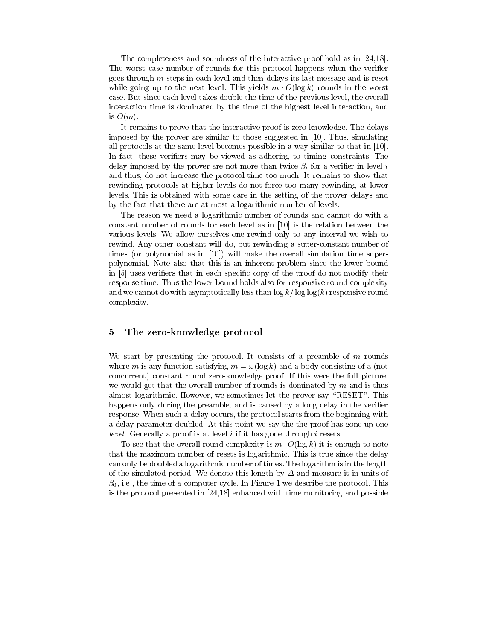The completeness and soundness of the interactive proof hold as in  $[24,18]$ . The worst case number of rounds for this protocol happens when the verifier goes through  $m$  steps in each level and then delays its last message and is reset while going up to the next level. This yields  $m \cdot O(\log k)$  rounds in the worst case. But since each level takes double the time of the previous level, the overall interaction time is dominated by the time of the highest level interaction, and is  $O(m)$ .

It remains to prove that the interactive proof is zero-knowledge. The delays imposed by the prover are similar to those suggested in [10]. Thus, simulating all protocols at the same level becomes possible in a way similar to that in [10]. In fact, these verifiers may be viewed as adhering to timing constraints. The delay imposed by the prover are not more than twice  $\beta_i$  for a verifier in level i and thus, do not increase the protocol time too much. It remains to show that rewinding protocols at higher levels do not force too many rewinding at lower levels. This is obtained with some care in the setting of the prover delays and by the fact that there are at most a logarithmic number of levels.

The reason we need a logarithmic number of rounds and cannot do with a constant number of rounds for each level as in [10] is the relation between the various levels. We allow ourselves one rewind only to any interval we wish to rewind. Any other constant will do, but rewinding a super-constant number of times (or polynomial as in  $[10]$ ) will make the overall simulation time superpolynomial. Note also that this is an inherent problem since the lower bound in [5] uses verifiers that in each specific copy of the proof do not modify their response time. Thus the lower bound holds also for responsive round complexity and we cannot do with asymptotically less than  $\log k / \log \log(k)$  responsive round complexity.

# $\overline{5}$ The zero-knowledge protocol

We start by presenting the protocol. It consists of a preamble of  $m$  rounds where m is any function satisfying  $m = \omega(\log k)$  and a body consisting of a (not concurrent) constant round zero-knowledge proof. If this were the full picture, we would get that the overall number of rounds is dominated by  $m$  and is thus almost logarithmic. However, we sometimes let the prover say "RESET". This happens only during the preamble, and is caused by a long delay in the verifier response. When such a delay occurs, the protocol starts from the beginning with a delay parameter doubled. At this point we say the the proof has gone up one *level*. Generally a proof is at level  $i$  if it has gone through  $i$  resets.

To see that the overall round complexity is  $m \cdot O(\log k)$  it is enough to note that the maximum number of resets is logarithmic. This is true since the delay can only be doubled a logarithmic number of times. The logarithm is in the length of the simulated period. We denote this length by  $\Delta$  and measure it in units of  $\beta_0$ , i.e., the time of a computer cycle. In Figure 1 we describe the protocol. This is the protocol presented in  $[24,18]$  enhanced with time monitoring and possible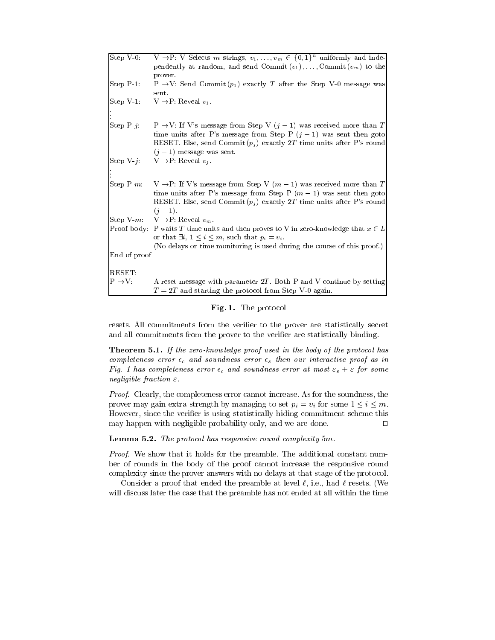| $Step V-0$          | $V \rightarrow P$ : V Selects m strings, $v_1, \ldots, v_m \in \{0,1\}^n$ uniformly and inde-<br>pendently at random, and send Commit $(v_1), \ldots,$ Commit $(v_m)$ to the<br>prover.                                                                         |
|---------------------|-----------------------------------------------------------------------------------------------------------------------------------------------------------------------------------------------------------------------------------------------------------------|
| Step P-1:           | $P \rightarrow V$ : Send Commit $(p_1)$ exactly T after the Step V-0 message was<br>sent.                                                                                                                                                                       |
| $Step V-1$ :        | $V \rightarrow P$ : Reveal $v_1$ .                                                                                                                                                                                                                              |
| Step $P_j$ :        | P $\rightarrow$ V: If V's message from Step V- $(j - 1)$ was received more than T<br>time units after P's message from Step $P-(j-1)$ was sent then goto<br>RESET. Else, send Commit $(p_j)$ exactly 2T time units after P's round<br>$(j-1)$ message was sent. |
| Step $V-j$ :        | $V \rightarrow P$ : Reveal $v_j$ .                                                                                                                                                                                                                              |
| Step P $m$          | V $\rightarrow$ P: If V's message from Step V $(m-1)$ was received more than T<br>time units after P's message from Step $P-(m-1)$ was sent then goto<br>RESET. Else, send Commit $(p_j)$ exactly 2T time units after P's round<br>$(j-1)$ .                    |
|                     | Step V-m: $V \rightarrow P$ : Reveal $v_m$ .                                                                                                                                                                                                                    |
|                     | Proof body: P waits T time units and then proves to V in zero-knowledge that $x \in L$<br>or that $\exists i, 1 \leq i \leq m$ , such that $p_i = v_i$ .<br>(No delays or time monitoring is used during the course of this proof.)                             |
| End of proof        |                                                                                                                                                                                                                                                                 |
| RESET:              |                                                                                                                                                                                                                                                                 |
| $P \rightarrow V$ : | A reset message with parameter $2T$ . Both P and V continue by setting<br>$T = 2T$ and starting the protocol from Step V-0 again.                                                                                                                               |

Fig. 1. The protocol

resets. All commitments from the verifier to the prover are statistically secret and all commitments from the prover to the verifier are statistically binding.

Theorem 5.1. If the zero-knowledge proof used in the body of the protocol has completeness error  $\epsilon_c$  and soundness error  $\epsilon_s$  then our interactive proof as in Fig. 1 has completeness error  $\epsilon_c$  and soundness error at most  $\varepsilon_s + \varepsilon$  for some negligible fraction  $\varepsilon$ .

Proof. Clearly, the completeness error cannot increase. As for the soundness, the prover may gain extra strength by managing to set  $p_i = v_i$  for some  $1 \le i \le m$ . However, since the verifier is using statistically hiding commitment scheme this may happen with negligible probability only, and we are done.  $\Box$ 

**Lemma 5.2.** The protocol has responsive round complexity 5m.

*Proof.* We show that it holds for the preamble. The additional constant number of rounds in the body of the proof cannot increase the responsive round complexity since the prover answers with no delays at that stage of the protocol.

Consider a proof that ended the preamble at level  $\ell$ , i.e., had  $\ell$  resets. (We will discuss later the case that the preamble has not ended at all within the time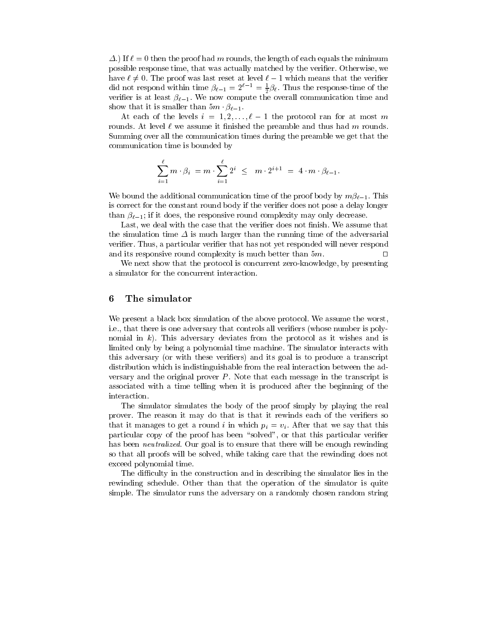$\Delta$ .) If  $\ell = 0$  then the proof had m rounds, the length of each equals the minimum possible response time, that was actually matched by the verifier. Otherwise, we have  $\ell \neq 0$ . The proof was last reset at level  $\ell - 1$  which means that the verifier did not respond within time  $\beta_{\ell-1} = 2^{\ell-1} = \frac{1}{2}\beta_{\ell}$ . Thus the response-time of the verifier is at least  $\beta_{\ell-1}$ . We now compute the overall communication time and show that it is smaller than  $5m \cdot \beta_{\ell-1}$ .

At each of the levels  $i = 1, 2, ..., \ell - 1$  the protocol ran for at most m rounds. At level  $\ell$  we assume it finished the preamble and thus had m rounds. Summing over all the communication times during the preamble we get that the communication time is bounded by

$$
\sum_{i=1}^{\ell} m \cdot \beta_i = m \cdot \sum_{i=1}^{\ell} 2^i \leq m \cdot 2^{i+1} = 4 \cdot m \cdot \beta_{\ell-1}.
$$

We bound the additional communication time of the proof body by  $m\beta_{\ell-1}$ . This is correct for the constant round body if the verifier does not pose a delay longer than  $\beta_{\ell-1}$ ; if it does, the responsive round complexity may only decrease.

Last, we deal with the case that the verifier does not finish. We assume that the simulation time  $\Delta$  is much larger than the running time of the adversarial verifier. Thus, a particular verifier that has not yet responded will never respond and its responsive round complexity is much better than  $5m$ .  $\Box$ 

We next show that the protocol is concurrent zero-knowledge, by presenting a simulator for the concurrent interaction.

# 6 The simulator

We present a black box simulation of the above protocol. We assume the worst, i.e., that there is one adversary that controls all verifiers (whose number is polynomial in  $k$ ). This adversary deviates from the protocol as it wishes and is limited only by being a polynomial time machine. The simulator interacts with this adversary (or with these verifiers) and its goal is to produce a transcript distribution which is indistinguishable from the real interaction between the adversary and the original prover  $P$ . Note that each message in the transcript is associated with a time telling when it is produced after the beginning of the interaction.

The simulator simulates the body of the proof simply by playing the real prover. The reason it may do that is that it rewinds each of the verifiers so that it manages to get a round i in which  $p_i = v_i$ . After that we say that this particular copy of the proof has been "solved", or that this particular verifier has been *neutralized*. Our goal is to ensure that there will be enough rewinding so that all proofs will be solved, while taking care that the rewinding does not exceed polynomial time.

The difficulty in the construction and in describing the simulator lies in the rewinding schedule. Other than that the operation of the simulator is quite simple. The simulator runs the adversary on a randomly chosen random string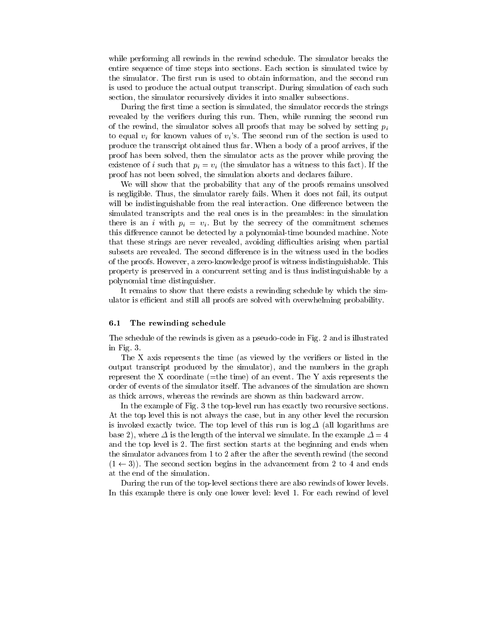while performing all rewinds in the rewind schedule. The simulator breaks the entire sequence of time steps into sections. Each section is simulated twice by the simulator. The first run is used to obtain information, and the second run is used to produce the actual output transcript. During simulation of each such section, the simulator recursively divides it into smaller subsections.

During the first time a section is simulated, the simulator records the strings revealed by the verifiers during this run. Then, while running the second run of the rewind, the simulator solves all proofs that may be solved by setting  $p_i$ to equal  $v_i$  for known values of  $v_i$ 's. The second run of the section is used to produce the transcript obtained thus far. When a body of a proof arrives, if the proof has been solved, then the simulator acts as the prover while proving the existence of i such that  $p_i = v_i$  (the simulator has a witness to this fact). If the proof has not been solved, the simulation aborts and declares failure.

We will show that the probability that any of the proofs remains unsolved is negligible. Thus, the simulator rarely fails. When it does not fail, its output will be indistinguishable from the real interaction. One difference between the simulated transcripts and the real ones is in the preambles: in the simulation there is an i with  $p_i = v_i$ . But by the secrecy of the commitment schemes this difference cannot be detected by a polynomial-time bounded machine. Note that these strings are never revealed, avoiding difficulties arising when partial subsets are revealed. The second difference is in the witness used in the bodies of the proofs. However, a zero-knowledge proof is witness indistinguishable. This property is preserved in a concurrent setting and is thus indistinguishable by a polynomial time distinguisher.

It remains to show that there exists a rewinding schedule by which the simulator is efficient and still all proofs are solved with overwhelming probability.

#### $6.1$ The rewinding schedule

The schedule of the rewinds is given as a pseudo-code in Fig. 2 and is illustrated in Fig. 3.

The X axis represents the time (as viewed by the verifiers or listed in the output transcript produced by the simulator), and the numbers in the graph represent the X coordinate (=the time) of an event. The Y axis represents the order of events of the simulator itself. The advances of the simulation are shown as thick arrows, whereas the rewinds are shown as thin backward arrow.

In the example of Fig. 3 the top-level run has exactly two recursive sections. At the top level this is not always the case, but in any other level the recursion is invoked exactly twice. The top level of this run is  $log\Delta$  (all logarithms are base 2), where  $\Delta$  is the length of the interval we simulate. In the example  $\Delta = 4$ and the top level is 2. The first section starts at the beginning and ends when the simulator advances from 1 to 2 after the after the seventh rewind (the second  $(1 \leftarrow 3)$ ). The second section begins in the advancement from 2 to 4 and ends at the end of the simulation.

During the run of the top-level sections there are also rewinds of lower levels. In this example there is only one lower level: level 1. For each rewind of level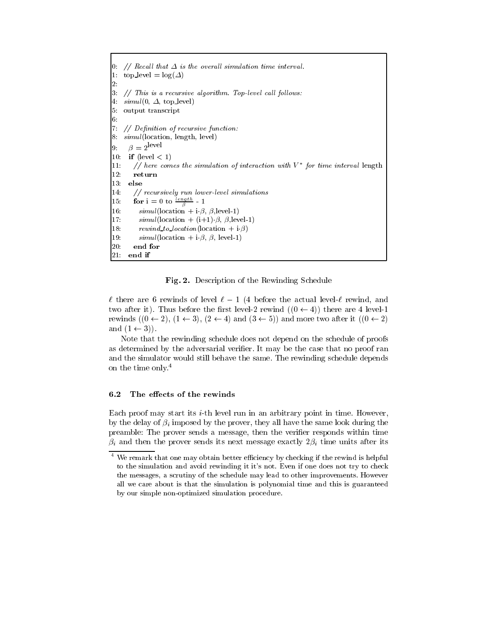$\vert 0: \rangle$  // Recall that  $\Delta$  is the overall simulation time interval. 1: top\_level =  $log(\Delta)$  $2:$ // This is a recursive algorithm. Top-level call follows:  $3 -$ 4:  $simul(0, \Delta, top-level)$ output transcript 5.  $6:$  $//$  Definition of recursive function:  $7:$  $simul$ (location, length, level)  $8<sup>1</sup>$  $\beta = 2^{\text{level}}$  $9 -$ 10: if  $(\text{level} < 1)$ // here comes the simulation of interaction with  $V^*$  for time interval length  $11:$ 12. return  $else$ 13. // recursively run lower-level simulations 14: **for** i = 0 to  $\frac{length}{\beta}$  - 1 15. 16.  $simul(location + i \beta, \beta, level-1)$ 17.  $simul(location + (i+1) \beta, \beta, level-1)$  $18.$ rewind\_to\_location(location + i  $\beta$ ) 19.  $simul(location + i \beta, \beta, level-1)$  $20:$ end for  $21:$ end if

Fig. 2. Description of the Rewinding Schedule

 $\ell$  there are 6 rewinds of level  $\ell-1$  (4 before the actual level- $\ell$  rewind, and two after it). Thus before the first level-2 rewind  $((0 \leftarrow 4))$  there are 4 level-1 rewinds  $((0 \leftarrow 2), (1 \leftarrow 3), (2 \leftarrow 4)$  and  $(3 \leftarrow 5))$  and more two after it  $((0 \leftarrow 2)$ and  $(1 \leftarrow 3)$ ).

Note that the rewinding schedule does not depend on the schedule of proofs as determined by the adversarial verifier. It may be the case that no proof ran and the simulator would still behave the same. The rewinding schedule depends on the time only.<sup>4</sup>

# $6.2$ The effects of the rewinds

Each proof may start its *i*-th level run in an arbitrary point in time. However, by the delay of  $\beta_i$  imposed by the prover, they all have the same look during the preamble: The prover sends a message, then the verifier responds within time  $\beta_i$  and then the prover sends its next message exactly  $2\beta_i$  time units after its

 $^4$  We remark that one may obtain better efficiency by checking if the rewind is helpful to the simulation and avoid rewinding it it's not. Even if one does not try to check the messages, a scrutiny of the schedule may lead to other improvements. However all we care about is that the simulation is polynomial time and this is guaranteed by our simple non-optimized simulation procedure.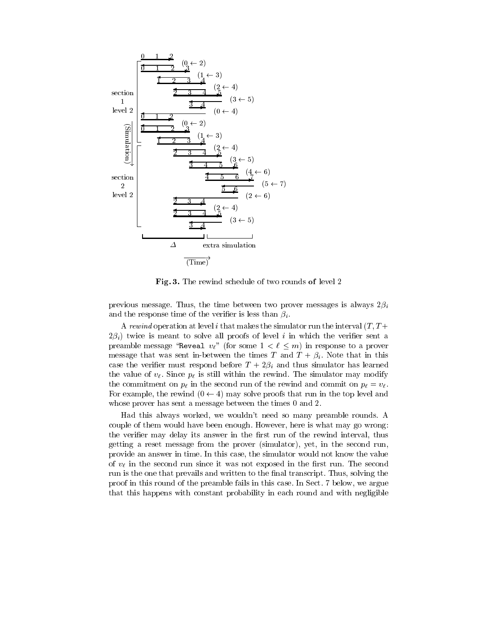

Fig. 3. The rewind schedule of two rounds of level 2

previous message. Thus, the time between two prover messages is always  $2\beta_i$ and the response time of the verifier is less than  $\beta_i$ .

A rewind operation at level i that makes the simulator run the interval  $(T, T +$  $2\beta_i$ ) twice is meant to solve all proofs of level i in which the verifier sent a preamble message "Reveal  $v_{\ell}$ " (for some  $1 < \ell \leq m$ ) in response to a prover message that was sent in-between the times T and  $T + \beta_i$ . Note that in this case the verifier must respond before  $T + 2\beta_i$  and thus simulator has learned the value of  $v_{\ell}$ . Since  $p_{\ell}$  is still within the rewind. The simulator may modify the commitment on  $p_{\ell}$  in the second run of the rewind and commit on  $p_{\ell} = v_{\ell}$ . For example, the rewind  $(0 \leftarrow 4)$  may solve proofs that run in the top level and whose prover has sent a message between the times 0 and 2.

Had this always worked, we wouldn't need so many preamble rounds. A couple of them would have been enough. However, here is what may go wrong: the verifier may delay its answer in the first run of the rewind interval, thus getting a reset message from the prover (simulator), yet, in the second run, provide an answer in time. In this case, the simulator would not know the value of  $v_{\ell}$  in the second run since it was not exposed in the first run. The second run is the one that prevails and written to the final transcript. Thus, solving the proof in this round of the preamble fails in this case. In Sect. 7 below, we argue that this happens with constant probability in each round and with negligible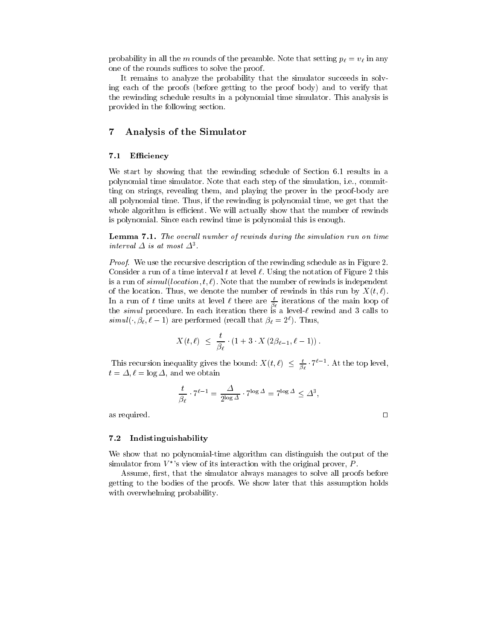probability in all the m rounds of the preamble. Note that setting  $p_{\ell} = v_{\ell}$  in any one of the rounds suffices to solve the proof.

It remains to analyze the probability that the simulator succeeds in solving each of the proofs (before getting to the proof body) and to verify that the rewinding schedule results in a polynomial time simulator. This analysis is provided in the following section.

# $\overline{7}$ Analysis of the Simulator

## $7.1$ Efficiency

We start by showing that the rewinding schedule of Section 6.1 results in a polynomial time simulator. Note that each step of the simulation, *i.e.*, committing on strings, revealing them, and playing the prover in the proof-body are all polynomial time. Thus, if the rewinding is polynomial time, we get that the whole algorithm is efficient. We will actually show that the number of rewinds is polynomial. Since each rewind time is polynomial this is enough.

**Lemma 7.1.** The overall number of rewinds during the simulation run on time interval  $\Delta$  is at most  $\Delta^3$ .

*Proof.* We use the recursive description of the rewinding schedule as in Figure 2. Consider a run of a time interval t at level  $\ell$ . Using the notation of Figure 2 this is a run of  $simul(location, t, l)$ . Note that the number of rewinds is independent of the location. Thus, we denote the number of rewinds in this run by  $X(t, \ell)$ . In a run of t time units at level  $\ell$  there are  $\frac{t}{\beta_{\ell}}$  iterations of the main loop of the *simul* procedure. In each iteration there is a level- $\ell$  rewind and 3 calls to  $simul(\cdot,\beta_{\ell},\ell-1)$  are performed (recall that  $\beta_{\ell}=2^{\ell}$ ). Thus,

$$
X(t,\ell) \leq \frac{t}{\beta_{\ell}} \cdot (1+3 \cdot X(2\beta_{\ell-1},\ell-1)).
$$

This recursion inequality gives the bound:  $X(t, \ell) \leq \frac{t}{\beta_{\ell}} \cdot 7^{\ell-1}$ . At the top level,  $t = \Delta, \ell = \log \Delta$ , and we obtain

$$
\frac{t}{\beta_{\ell}} \cdot 7^{\ell-1} = \frac{\Delta}{2^{\log \Delta}} \cdot 7^{\log \Delta} = 7^{\log \Delta} \le \Delta^3,
$$

as required.

#### $7.2$ Indistinguishability

We show that no polynomial-time algorithm can distinguish the output of the simulator from  $V^*$ 's view of its interaction with the original prover, P.

Assume, first, that the simulator always manages to solve all proofs before getting to the bodies of the proofs. We show later that this assumption holds with overwhelming probability.

 $\Box$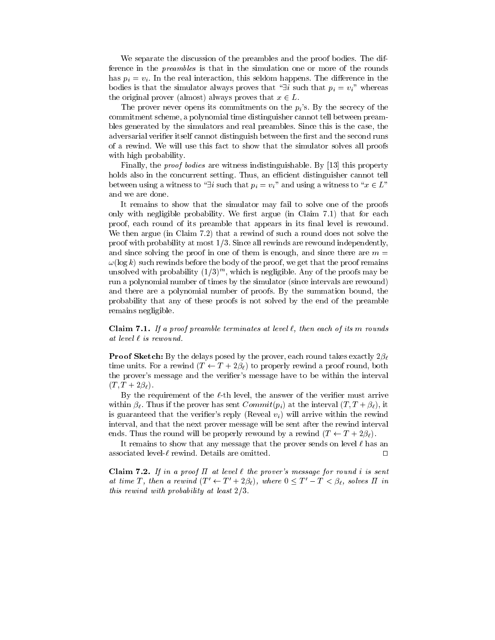We separate the discussion of the preambles and the proof bodies. The difference in the *preambles* is that in the simulation one or more of the rounds has  $p_i = v_i$ . In the real interaction, this seldom happens. The difference in the bodies is that the simulator always proves that " $\exists i$  such that  $p_i = v_i$ " whereas the original prover (almost) always proves that  $x \in L$ .

The prover never opens its commitments on the  $p_i$ 's. By the secrecy of the commitment scheme, a polynomial time distinguisher cannot tell between preambles generated by the simulators and real preambles. Since this is the case, the adversarial verifier itself cannot distinguish between the first and the second runs of a rewind. We will use this fact to show that the simulator solves all proofs with high probability.

Finally, the *proof bodies* are witness indistinguishable. By [13] this property holds also in the concurrent setting. Thus, an efficient distinguisher cannot tell between using a witness to " $\exists i$  such that  $p_i = v_i$ " and using a witness to " $x \in L$ " and we are done.

It remains to show that the simulator may fail to solve one of the proofs only with negligible probability. We first argue (in Claim 7.1) that for each proof, each round of its preamble that appears in its final level is rewound. We then argue (in Claim 7.2) that a rewind of such a round does not solve the proof with probability at most  $1/3$ . Since all rewinds are rewound independently, and since solving the proof in one of them is enough, and since there are  $m =$  $\omega(\log k)$  such rewinds before the body of the proof, we get that the proof remains unsolved with probability  $(1/3)^m$ , which is negligible. Any of the proofs may be run a polynomial number of times by the simulator (since intervals are rewound) and there are a polynomial number of proofs. By the summation bound, the probability that any of these proofs is not solved by the end of the preamble remains negligible.

**Claim 7.1.** If a proof preamble terminates at level  $\ell$ , then each of its m rounds at level  $\ell$  is rewound.

**Proof Sketch:** By the delays posed by the prover, each round takes exactly  $2\beta_{\ell}$ time units. For a rewind  $(T \leftarrow T + 2\beta_{\ell})$  to properly rewind a proof round, both the prover's message and the verifier's message have to be within the interval  $(T, T + 2\beta_{\ell}).$ 

By the requirement of the  $\ell$ -th level, the answer of the verifier must arrive within  $\beta_{\ell}$ . Thus if the prover has sent  $Commit(p_i)$  at the interval  $(T, T + \beta_{\ell})$ , it is guaranteed that the verifier's reply (Reveal  $v_i$ ) will arrive within the rewind interval, and that the next prover message will be sent after the rewind interval ends. Thus the round will be properly rewound by a rewind  $(T \leftarrow T + 2\beta_{\ell})$ .

It remains to show that any message that the prover sends on level  $\ell$  has an associated level- $\ell$  rewind. Details are omitted.  $\Box$ 

**Claim 7.2.** If in a proof  $\Pi$  at level  $\ell$  the prover's message for round i is sent at time T, then a rewind  $(T' \leftarrow T' + 2\beta_{\ell})$ , where  $0 \leq T' - T < \beta_{\ell}$ , solves  $\Pi$  in this rewind with probability at least  $2/3$ .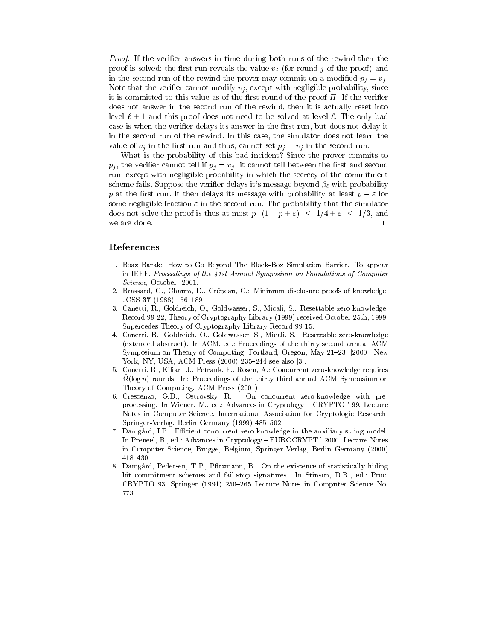*Proof.* If the verifier answers in time during both runs of the rewind then the proof is solved: the first run reveals the value  $v_i$  (for round j of the proof) and in the second run of the rewind the prover may commit on a modified  $p_i = v_i$ . Note that the verifier cannot modify  $v_j$ , except with negligible probability, since it is committed to this value as of the first round of the proof  $\Pi$ . If the verifier does not answer in the second run of the rewind, then it is actually reset into level  $\ell + 1$  and this proof does not need to be solved at level  $\ell$ . The only bad case is when the verifier delays its answer in the first run, but does not delay it in the second run of the rewind. In this case, the simulator does not learn the value of  $v_j$  in the first run and thus, cannot set  $p_j = v_j$  in the second run.

What is the probability of this bad incident? Since the prover commits to  $p_i$ , the verifier cannot tell if  $p_i = v_i$ , it cannot tell between the first and second run, except with negligible probability in which the secrecy of the commitment scheme fails. Suppose the verifier delays it's message beyond  $\beta_{\ell}$  with probability p at the first run. It then delays its message with probability at least  $p-\varepsilon$  for some negligible fraction  $\varepsilon$  in the second run. The probability that the simulator does not solve the proof is thus at most  $p \cdot (1 - p + \varepsilon) \leq 1/4 + \varepsilon \leq 1/3$ , and we are done.  $\Box$ 

# References

- 1. Boaz Barak: How to Go Beyond The Black-Box Simulation Barrier. To appear in IEEE, Proceedings of the 41st Annual Symposium on Foundations of Computer *Science*, October, 2001.
- 2. Brassard, G., Chaum, D., Crépeau, C.: Minimum disclosure proofs of knowledge. JCSS 37 (1988) 156-189
- 3. Canetti, R., Goldreich, O., Goldwasser, S., Micali, S.: Resettable zero-knowledge. Record 99-22, Theory of Cryptography Library (1999) received October 25th, 1999. Supercedes Theory of Cryptography Library Record 99-15.
- 4. Canetti, R., Goldreich, O., Goldwasser, S., Micali, S.: Resettable zero-knowledge (extended abstract). In ACM, ed.: Proceedings of the thirty second annual ACM Symposium on Theory of Computing: Portland, Oregon, May 21–23, [2000], New York, NY, USA, ACM Press (2000) 235-244 see also [3].
- 5. Canetti, R., Kilian, J., Petrank, E., Rosen, A.: Concurrent zero-knowledge requires  $\Omega(\log n)$  rounds. In: Proceedings of the thirty third annual ACM Symposium on Theory of Computing, ACM Press (2001)
- 6. Crescenzo, G.D., Ostrovsky, R.: On concurrent zero-knowledge with preprocessing. In Wiener, M., ed.: Advances in Cryptology - CRYPTO ' 99. Lecture Notes in Computer Science, International Association for Cryptologic Research, Springer-Verlag, Berlin Germany (1999) 485-502
- 7. Damgård, I.B.: Efficient concurrent zero-knowledge in the auxiliary string model. In Preneel, B., ed.: Advances in Cryptology - EUROCRYPT ' 2000. Lecture Notes in Computer Science, Brugge, Belgium, Springer-Verlag, Berlin Germany (2000)  $418 - 430$
- 8. Damgård, Pedersen, T.P., Pfitzmann, B.: On the existence of statistically hiding bit commitment schemes and fail-stop signatures. In Stinson, D.R., ed.: Proc. CRYPTO 93, Springer (1994) 250-265 Lecture Notes in Computer Science No. 773.